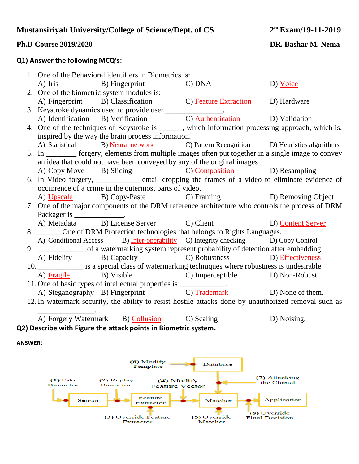# **ndExam/19-11-2019**

## **Ph.D Course 2019/2020 DR. Bashar M. Nema**

### **Q1) Answer the following MCQ's:**

|                                                                                                                                      |                                                                                                     | 1. One of the Behavioral identifiers in Biometrics is:      |                                                                                                   |          |  |
|--------------------------------------------------------------------------------------------------------------------------------------|-----------------------------------------------------------------------------------------------------|-------------------------------------------------------------|---------------------------------------------------------------------------------------------------|----------|--|
|                                                                                                                                      |                                                                                                     | A) Iris B) Fingerprint C) DNA                               |                                                                                                   | D) Voice |  |
|                                                                                                                                      |                                                                                                     | 2. One of the biometric system modules is:                  |                                                                                                   |          |  |
|                                                                                                                                      |                                                                                                     |                                                             | A) Fingerprint B) Classification C) Feature Extraction D) Hardware                                |          |  |
|                                                                                                                                      |                                                                                                     | 3. Keystroke dynamics used to provide user _______________. |                                                                                                   |          |  |
|                                                                                                                                      |                                                                                                     |                                                             | A) Identification B) Verification C) Authentication D) Validation                                 |          |  |
|                                                                                                                                      |                                                                                                     |                                                             | 4. One of the techniques of Keystroke is ______, which information processing approach, which is, |          |  |
|                                                                                                                                      | inspired by the way the brain process information.                                                  |                                                             |                                                                                                   |          |  |
|                                                                                                                                      |                                                                                                     |                                                             | A) Statistical B) Neural network C) Pattern Recognition D) Heuristics algorithms                  |          |  |
|                                                                                                                                      | 5. In _______ forgery, elements from multiple images often put together in a single image to convey |                                                             |                                                                                                   |          |  |
|                                                                                                                                      | an idea that could not have been conveyed by any of the original images.                            |                                                             |                                                                                                   |          |  |
|                                                                                                                                      |                                                                                                     |                                                             | A) Copy Move B) Slicing C) Composition D) Resampling                                              |          |  |
|                                                                                                                                      |                                                                                                     |                                                             | 6. In Video forgery, __________entail cropping the frames of a video to eliminate evidence of     |          |  |
|                                                                                                                                      | occurrence of a crime in the outermost parts of video.                                              |                                                             |                                                                                                   |          |  |
|                                                                                                                                      |                                                                                                     |                                                             | A) Upscale B) Copy-Paste C) Framing D) Removing Object                                            |          |  |
|                                                                                                                                      | 7. One of the major components of the DRM reference architecture who controls the process of DRM    |                                                             |                                                                                                   |          |  |
|                                                                                                                                      | Packager is ________________.                                                                       |                                                             |                                                                                                   |          |  |
|                                                                                                                                      |                                                                                                     |                                                             | A) Metadata B) License Server C) Client D) Content Server                                         |          |  |
|                                                                                                                                      | 8. ______ One of DRM Protection technologies that belongs to Rights Languages.                      |                                                             |                                                                                                   |          |  |
|                                                                                                                                      |                                                                                                     |                                                             | A) Conditional Access B) Inter-operability C) Integrity checking D) Copy Control                  |          |  |
|                                                                                                                                      |                                                                                                     |                                                             |                                                                                                   |          |  |
|                                                                                                                                      |                                                                                                     |                                                             | A) Fidelity B) Capacity C) Robustness D) Effectiveness                                            |          |  |
| 10. ______________ is a special class of watermarking techniques where robustness is undesirable.                                    |                                                                                                     |                                                             |                                                                                                   |          |  |
|                                                                                                                                      |                                                                                                     |                                                             | A) Fragile B) Visible C) Imperceptible D) Non-Robust.                                             |          |  |
| 11. One of basic types of intellectual properties is _____________.<br>A) Steganography B) Fingerprint C) Trademark D) None of them. |                                                                                                     |                                                             |                                                                                                   |          |  |
|                                                                                                                                      |                                                                                                     |                                                             |                                                                                                   |          |  |
| 12. In watermark security, the ability to resist hostile attacks done by unauthorized removal such as                                |                                                                                                     |                                                             |                                                                                                   |          |  |
|                                                                                                                                      |                                                                                                     |                                                             |                                                                                                   |          |  |
|                                                                                                                                      |                                                                                                     |                                                             | A) Forgery Watermark B) Collusion C) Scaling D) Noising.                                          |          |  |

**Q2) Describe with Figure the attack points in Biometric system.**

**ANSWER:**

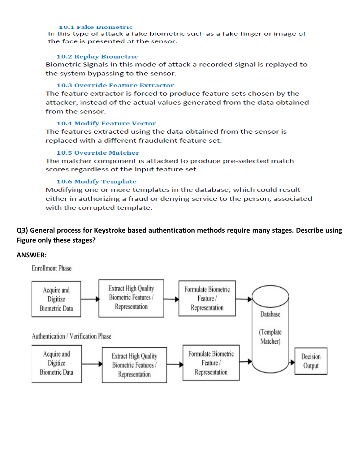#### **10.1 Fake Biometric**

In this type of attack a fake biometric such as a fake finger or image of the face is presented at the sensor.

#### **10.2 Replay Biometric**

Biometric Signals In this mode of attack a recorded signal is replayed to the system bypassing to the sensor.

#### **10.3 Override Feature Extractor**

The feature extractor is forced to produce feature sets chosen by the attacker, instead of the actual values generated from the data obtained from the sensor.

### **10.4 Modify Feature Vector**

The features extracted using the data obtained from the sensor is replaced with a different fraudulent feature set.

### **10.5 Override Matcher**

The matcher component is attacked to produce pre-selected match scores regardless of the input feature set.

### **10.6 Modify Template**

Modifying one or more templates in the database, which could result either in authorizing a fraud or denying service to the person, associated with the corrupted template.

# Q3) General process for Keystroke based authentication methods require many stages. Describe using Figure only these stages?

### **ANSWER:**

**Enrollment Phase**